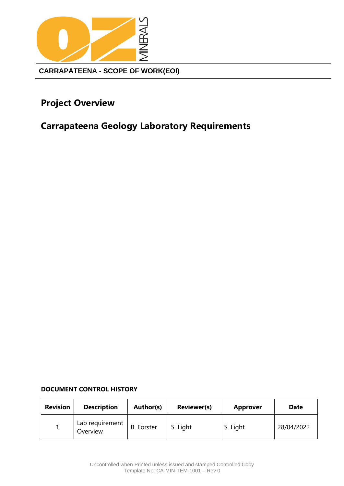

# <span id="page-0-0"></span>**Project Overview**

# <span id="page-0-1"></span>**Carrapateena Geology Laboratory Requirements**

### **DOCUMENT CONTROL HISTORY**

| <b>Revision</b> | <b>Description</b>          | Author(s)         | <b>Reviewer(s)</b> | <b>Approver</b> | Date       |
|-----------------|-----------------------------|-------------------|--------------------|-----------------|------------|
|                 | Lab requirement<br>Overview | <b>B.</b> Forster | S. Light           | S. Light        | 28/04/2022 |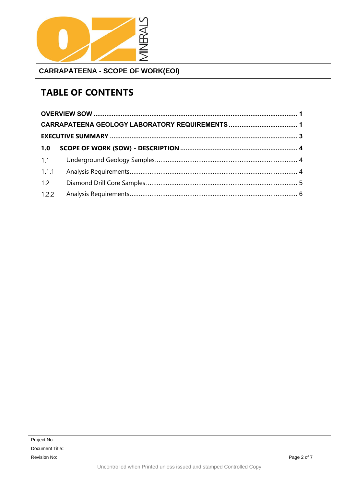

# **TABLE OF CONTENTS**

| 1.1   |  |
|-------|--|
| 1.1.1 |  |
| 1.2   |  |
| 1.2.2 |  |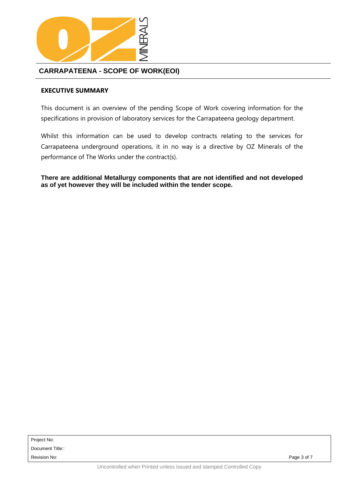

### <span id="page-2-0"></span>**EXECUTIVE SUMMARY**

This document is an overview of the pending Scope of Work covering information for the specifications in provision of laboratory services for the Carrapateena geology department.

Whilst this information can be used to develop contracts relating to the services for Carrapateena underground operations, it in no way is a directive by OZ Minerals of the performance of The Works under the contract(s).

**There are additional Metallurgy components that are not identified and not developed as of yet however they will be included within the tender scope.**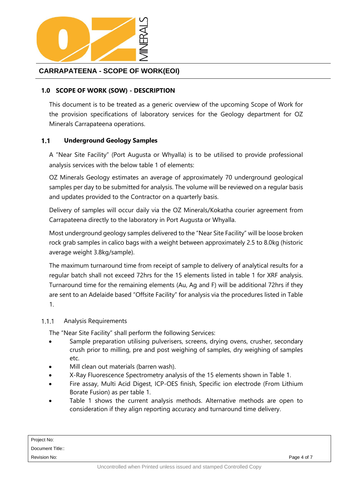

### <span id="page-3-0"></span>**1.0 SCOPE OF WORK (SOW) - DESCRIPTION**

This document is to be treated as a generic overview of the upcoming Scope of Work for the provision specifications of laboratory services for the Geology department for OZ Minerals Carrapateena operations.

#### <span id="page-3-1"></span> $1.1$ **Underground Geology Samples**

A "Near Site Facility" (Port Augusta or Whyalla) is to be utilised to provide professional analysis services with the below table 1 of elements:

OZ Minerals Geology estimates an average of approximately 70 underground geological samples per day to be submitted for analysis. The volume will be reviewed on a regular basis and updates provided to the Contractor on a quarterly basis.

Delivery of samples will occur daily via the OZ Minerals/Kokatha courier agreement from Carrapateena directly to the laboratory in Port Augusta or Whyalla.

Most underground geology samples delivered to the "Near Site Facility" will be loose broken rock grab samples in calico bags with a weight between approximately 2.5 to 8.0kg (historic average weight 3.8kg/sample).

The maximum turnaround time from receipt of sample to delivery of analytical results for a regular batch shall not exceed 72hrs for the 15 elements listed in table 1 for XRF analysis. Turnaround time for the remaining elements (Au, Ag and F) will be additional 72hrs if they are sent to an Adelaide based "Offsite Facility" for analysis via the procedures listed in Table 1.

#### <span id="page-3-2"></span> $1.1.1$ Analysis Requirements

The "Near Site Facility" shall perform the following Services:

- Sample preparation utilising pulverisers, screens, drying ovens, crusher, secondary crush prior to milling, pre and post weighing of samples, dry weighing of samples etc.
- Mill clean out materials (barren wash).
- X-Ray Fluorescence Spectrometry analysis of the 15 elements shown in Table 1.
- Fire assay, Multi Acid Digest, ICP-OES finish, Specific ion electrode (From Lithium Borate Fusion) as per table 1.
- Table 1 shows the current analysis methods. Alternative methods are open to consideration if they align reporting accuracy and turnaround time delivery.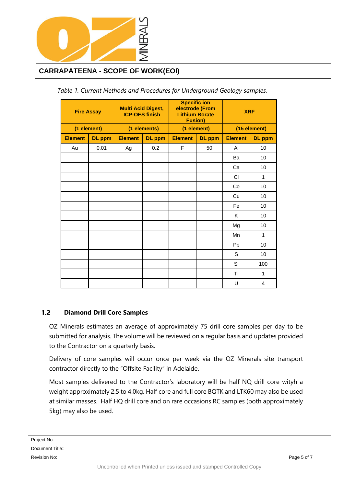

| <b>Fire Assay</b> |               | <b>Multi Acid Digest,</b><br><b>ICP-OES finish</b> |               | <b>Specific ion</b><br>electrode (From<br><b>Lithium Borate</b><br><b>Fusion)</b> |               | <b>XRF</b>     |                |  |
|-------------------|---------------|----------------------------------------------------|---------------|-----------------------------------------------------------------------------------|---------------|----------------|----------------|--|
| (1 element)       |               | (1 elements)                                       |               | (1 element)                                                                       |               | (15 element)   |                |  |
| <b>Element</b>    | <b>DL</b> ppm | <b>Element</b>                                     | <b>DL</b> ppm | <b>Element</b>                                                                    | <b>DL</b> ppm | <b>Element</b> | <b>DL</b> ppm  |  |
| Au                | 0.01          | Ag                                                 | 0.2           | F                                                                                 | 50            | AI             | 10             |  |
|                   |               |                                                    |               |                                                                                   |               | Ba             | 10             |  |
|                   |               |                                                    |               |                                                                                   |               | Ca             | 10             |  |
|                   |               |                                                    |               |                                                                                   |               | <b>CI</b>      | $\mathbf{1}$   |  |
|                   |               |                                                    |               |                                                                                   |               | Co             | 10             |  |
|                   |               |                                                    |               |                                                                                   |               | Cu             | 10             |  |
|                   |               |                                                    |               |                                                                                   |               | Fe             | 10             |  |
|                   |               |                                                    |               |                                                                                   |               | K              | 10             |  |
|                   |               |                                                    |               |                                                                                   |               | Mg             | 10             |  |
|                   |               |                                                    |               |                                                                                   |               | Mn             | $\mathbf{1}$   |  |
|                   |               |                                                    |               |                                                                                   |               | Pb             | 10             |  |
|                   |               |                                                    |               |                                                                                   |               | S              | 10             |  |
|                   |               |                                                    |               |                                                                                   |               | Si             | 100            |  |
|                   |               |                                                    |               |                                                                                   |               | Ti             | 1              |  |
|                   |               |                                                    |               |                                                                                   |               | U              | $\overline{4}$ |  |

*Table 1. Current Methods and Procedures for Underground Geology samples.*

#### <span id="page-4-0"></span> $1.2$ **Diamond Drill Core Samples**

OZ Minerals estimates an average of approximately 75 drill core samples per day to be submitted for analysis. The volume will be reviewed on a regular basis and updates provided to the Contractor on a quarterly basis.

Delivery of core samples will occur once per week via the OZ Minerals site transport contractor directly to the "Offsite Facility" in Adelaide.

Most samples delivered to the Contractor's laboratory will be half NQ drill core wityh a weight approximately 2.5 to 4.0kg. Half core and full core BQTK and LTK60 may also be used at similar masses. Half HQ drill core and on rare occasions RC samples (both approximately 5kg) may also be used.

Project No: Document Title:: Revision No: Page 5 of 7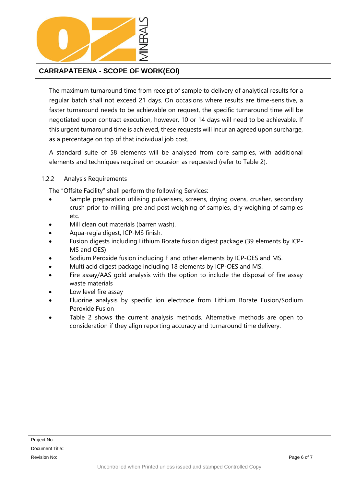

The maximum turnaround time from receipt of sample to delivery of analytical results for a regular batch shall not exceed 21 days. On occasions where results are time-sensitive, a faster turnaround needs to be achievable on request, the specific turnaround time will be negotiated upon contract execution, however, 10 or 14 days will need to be achievable. If this urgent turnaround time is achieved, these requests will incur an agreed upon surcharge, as a percentage on top of that individual job cost.

A standard suite of 58 elements will be analysed from core samples, with additional elements and techniques required on occasion as requested (refer to Table 2).

#### <span id="page-5-0"></span> $1.2.2$ Analysis Requirements

The "Offsite Facility" shall perform the following Services:

- Sample preparation utilising pulverisers, screens, drying ovens, crusher, secondary crush prior to milling, pre and post weighing of samples, dry weighing of samples etc.
- Mill clean out materials (barren wash).
- Aqua-regia digest, ICP-MS finish.
- Fusion digests including Lithium Borate fusion digest package (39 elements by ICP-MS and OES)
- Sodium Peroxide fusion including F and other elements by ICP-OES and MS.
- Multi acid digest package including 18 elements by ICP-OES and MS.
- Fire assay/AAS gold analysis with the option to include the disposal of fire assay waste materials
- Low level fire assay
- Fluorine analysis by specific ion electrode from Lithium Borate Fusion/Sodium Peroxide Fusion
- Table 2 shows the current analysis methods. Alternative methods are open to consideration if they align reporting accuracy and turnaround time delivery.